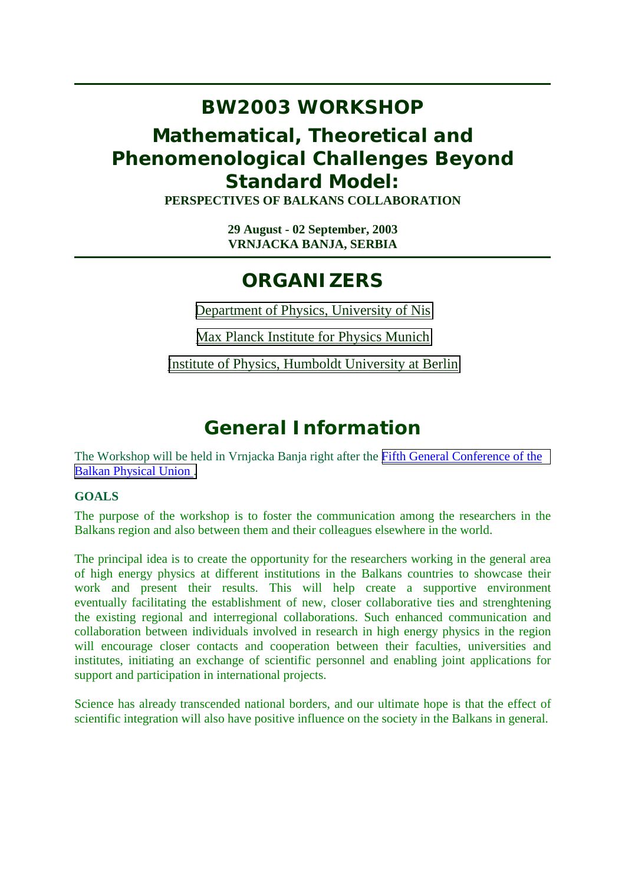#### **BW2003 WORKSHOP**

#### **Mathematical, Theoretical and Phenomenological Challenges Beyond Standard Model: PERSPECTIVES OF BALKANS COLLABORATION**

**29 August - 02 September, 2003 VRNJACKA BANJA, SERBIA**

## **ORGANIZERS**

[Department of Physics, University of Nis](http://www.pmf.ni.ac.yu/group/physics/Odsek_s.htm)

[Max Planck Institute for Physics Munich](http://www.mppmu.mpg.de/)

[Institute of Physics, Humboldt University at Berlin](http://www.physik.hu-berlin.de/)

# **General Information**

The Workshop will be held in Vrnjacka Banja right after the [Fifth General Conference of the](http://www.phy.bg.ac.yu/jdf/bpu5/) [Balkan Physical Union .](http://www.phy.bg.ac.yu/jdf/bpu5/)

#### **GOALS**

The purpose of the workshop is to foster the communication among the researchers in the Balkans region and also between them and their colleagues elsewhere in the world.

The principal idea is to create the opportunity for the researchers working in the general area of high energy physics at different institutions in the Balkans countries to showcase their work and present their results. This will help create a supportive environment eventually facilitating the establishment of new, closer collaborative ties and strenghtening the existing regional and interregional collaborations. Such enhanced communication and collaboration between individuals involved in research in high energy physics in the region will encourage closer contacts and cooperation between their faculties, universities and institutes, initiating an exchange of scientific personnel and enabling joint applications for support and participation in international projects.

Science has already transcended national borders, and our ultimate hope is that the effect of scientific integration will also have positive influence on the society in the Balkans in general.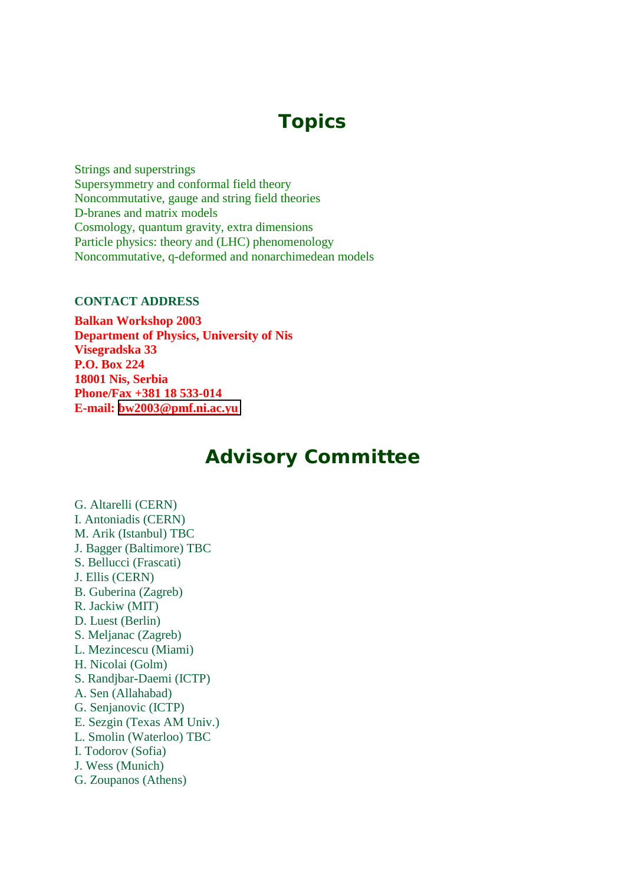## **Topics**

Strings and superstrings Supersymmetry and conformal field theory Noncommutative, gauge and string field theories D-branes and matrix models Cosmology, quantum gravity, extra dimensions Particle physics: theory and (LHC) phenomenology Noncommutative, q-deformed and nonarchimedean models

#### **CONTACT ADDRESS**

**Balkan Workshop 2003 Department of Physics, University of Nis Visegradska 33 P.O. Box 224 18001 Nis, Serbia Phone/Fax +381 18 533-014 E-mail: [bw2003@pmf.ni.ac.yu](mailto:bw2003@pmf.ni.ac.yu)**

#### **Advisory Committee**

G. Altarelli (CERN) I. Antoniadis (CERN) M. Arik (Istanbul) TBC J. Bagger (Baltimore) TBC S. Bellucci (Frascati) J. Ellis (CERN) B. Guberina (Zagreb) R. Jackiw (MIT) D. Luest (Berlin) S. Meljanac (Zagreb) L. Mezincescu (Miami) H. Nicolai (Golm) S. Randjbar-Daemi (ICTP) A. Sen (Allahabad) G. Senjanovic (ICTP) E. Sezgin (Texas AM Univ.) L. Smolin (Waterloo) TBC I. Todorov (Sofia) J. Wess (Munich) G. Zoupanos (Athens)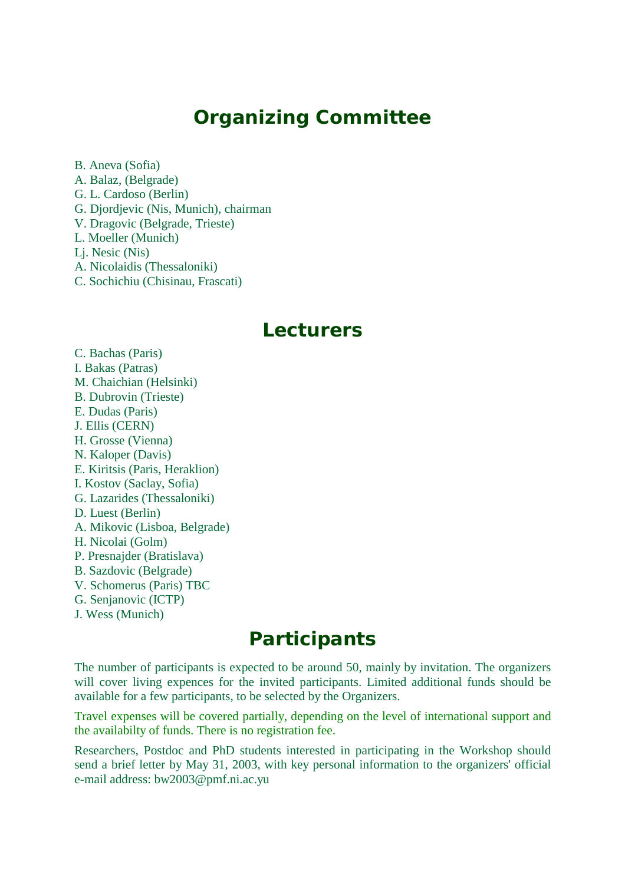#### **Organizing Committee**

B. Aneva (Sofia) A. Balaz, (Belgrade) G. L. Cardoso (Berlin) G. Djordjevic (Nis, Munich), chairman V. Dragovic (Belgrade, Trieste) L. Moeller (Munich) Lj. Nesic (Nis) A. Nicolaidis (Thessaloniki) C. Sochichiu (Chisinau, Frascati)

#### **Lecturers**

C. Bachas (Paris) I. Bakas (Patras) M. Chaichian (Helsinki) B. Dubrovin (Trieste) E. Dudas (Paris) J. Ellis (CERN) H. Grosse (Vienna) N. Kaloper (Davis) E. Kiritsis (Paris, Heraklion) I. Kostov (Saclay, Sofia) G. Lazarides (Thessaloniki) D. Luest (Berlin) A. Mikovic (Lisboa, Belgrade) H. Nicolai (Golm) P. Presnajder (Bratislava) B. Sazdovic (Belgrade) V. Schomerus (Paris) TBC G. Senjanovic (ICTP) J. Wess (Munich)

#### **Participants**

The number of participants is expected to be around 50, mainly by invitation. The organizers will cover living expences for the invited participants. Limited additional funds should be available for a few participants, to be selected by the Organizers.

Travel expenses will be covered partially, depending on the level of international support and the availabilty of funds. There is no registration fee.

Researchers, Postdoc and PhD students interested in participating in the Workshop should send a brief letter by May 31, 2003, with key personal information to the organizers' official e-mail address: bw2003@pmf.ni.ac.yu